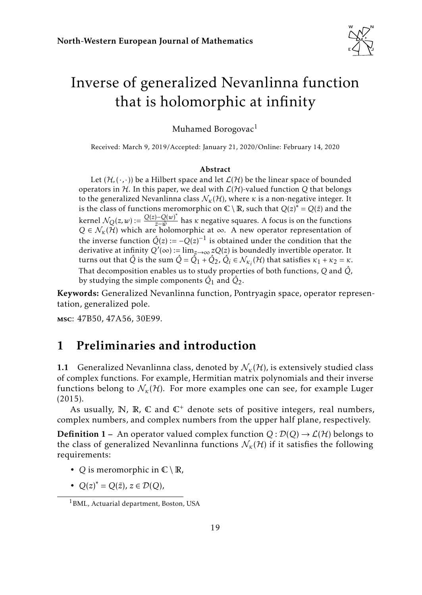

# <span id="page-0-1"></span>Inverse of generalized Nevanlinna function that is holomorphic at infinity

Muhamed Borogovac<sup>1</sup>

Received: March 9, 2019/Accepted: January 21, 2020/Online: February 14, 2020

#### Abstract

Let  $(\mathcal{H}, (\cdot, \cdot))$  be a Hilbert space and let  $\mathcal{L}(\mathcal{H})$  be the linear space of bounded operators in  $H$ . In this paper, we deal with  $L(H)$ -valued function Q that belongs to the generalized Nevanlinna class  $\mathcal{N}_{\kappa}(\mathcal{H})$ , where  $\kappa$  is a non-negative integer. It is the class of functions meromorphic on  $\mathbb{C} \setminus \mathbb{R}$ , such that  $Q(z)^* = Q(\bar{z})$  and the  $\text{kernel } \mathcal{N}_Q(z,w) := \frac{Q(z) - Q(w)^*}{z - \bar{w}}$  $\frac{y}{z-\overline{w}}$  has *κ* negative squares. A focus is on the functions  $Q \in \mathcal{N}_{\kappa}(\tilde{\mathcal{H}})$  which are holomorphic at  $\infty$ . A new operator representation of the inverse function  $\hat{Q}(z) := -Q(z)^{-1}$  is obtained under the condition that the derivative at infinity  $Q'(\infty) := \lim_{z\to\infty} zQ(z)$  is boundedly invertible operator. It turns out that  $\hat{Q}$  is the sum  $\hat{Q} = \hat{Q}_1 + \hat{Q}_2$ ,  $\hat{Q}_i \in \mathcal{N}_{\kappa_i}(\mathcal{H})$  that satisfies  $\kappa_1 + \kappa_2 = \kappa$ . That decomposition enables us to study properties of both functions, *Q* and *Q*ˆ, by studying the simple components  $\hat{Q}_1$  and  $\hat{Q}_2$ .

Keywords: Generalized Nevanlinna function, Pontryagin space, operator representation, generalized pole.

msc: 47B50, 47A56, 30E99.

## <span id="page-0-0"></span>1 Preliminaries and introduction

1.1 Generalized Nevanlinna class, denoted by  $\mathcal{N}_{k}(\mathcal{H})$ , is extensively studied class of complex functions. For example, Hermitian matrix polynomials and their inverse functions belong to  $\mathcal{N}_{\kappa}(\mathcal{H})$ . For more examples one can see, for example Luger [\(2015\)](#page-23-0).

As usually,  $\mathbb{N}$ ,  $\mathbb{R}$ ,  $\mathbb{C}$  and  $\mathbb{C}^+$  denote sets of positive integers, real numbers, complex numbers, and complex numbers from the upper half plane, respectively.

**Definition 1** – An operator valued complex function  $Q : \mathcal{D}(Q) \to \mathcal{L}(\mathcal{H})$  belongs to the class of generalized Nevanlinna functions  $\mathcal{N}_{\kappa}(\mathcal{H})$  if it satisfies the following requirements:

- *Q* is meromorphic in  $\mathbb{C} \setminus \mathbb{R}$ ,
- $Q(z)^* = Q(\bar{z}), z \in \mathcal{D}(Q),$

<sup>1</sup>BML, Actuarial department, Boston, USA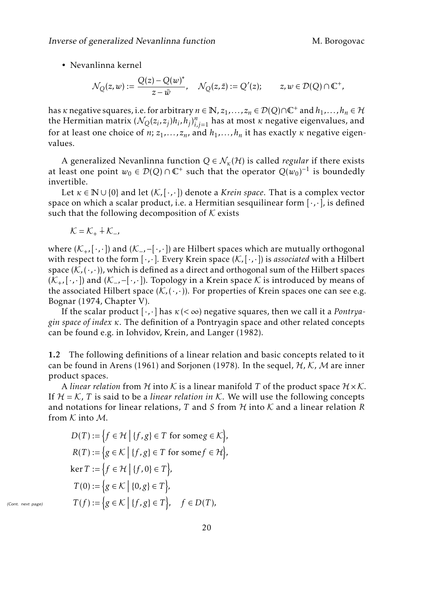• Nevanlinna kernel

$$
\mathcal{N}_Q(z,w) := \frac{Q(z) - Q(w)^*}{z - \bar{w}}, \quad \mathcal{N}_Q(z,\bar{z}) := Q'(z); \qquad z, w \in \mathcal{D}(Q) \cap \mathbb{C}^+,
$$

has *κ* negative squares, i.e. for arbitrary  $n \in \mathbb{N}$ ,  $z_1, \ldots, z_n \in \mathcal{D}(Q) \cap \mathbb{C}^+$  and  $h_1, \ldots, h_n \in \mathcal{H}$ the Hermitian matrix  $(\mathcal{N}_Q(z_i, z_j)h_i, h_j)_{i,j=1}^n$  has at most  $\kappa$  negative eigenvalues, and for at least one choice of *n*;  $z_1, \ldots, z_n$ , and  $h_1, \ldots, h_n$  it has exactly  $\kappa$  negative eigenvalues.

A generalized Nevanlinna function  $Q \in \mathcal{N}_{k}(\mathcal{H})$  is called *regular* if there exists at least one point  $w_0 \in \mathcal{D}(Q) \cap \mathbb{C}^+$  such that the operator  $Q(w_0)^{-1}$  is boundedly invertible.

Let  $\kappa \in \mathbb{N} \cup \{0\}$  and let  $(\mathcal{K}, [\cdot, \cdot])$  denote a *Krein space*. That is a complex vector space on which a scalar product, i.e. a Hermitian sesquilinear form  $[\cdot, \cdot]$ , is defined such that the following decomposition of  $K$  exists

$$
\mathcal{K}=\mathcal{K}_{+}\dotplus\mathcal{K}_{-},
$$

where (K+*,*[·*,*·]) and (K−*,*−[·*,*·]) are Hilbert spaces which are mutually orthogonal with respect to the form [·*,*·]. Every Krein space (K*,*[·*,*·]) is *associated* with a Hilbert space  $(K, (·, ·))$ , which is defined as a direct and orthogonal sum of the Hilbert spaces (K+*,*[·*,*·]) and (K−*,*−[·*,*·]). Topology in a Krein space K is introduced by means of the associated Hilbert space  $(K, \langle \cdot, \cdot \rangle)$ . For properties of Krein spaces one can see e.g. Bognar [\(1974,](#page-22-0) Chapter V).

If the scalar product [·*,*·] has *κ*(*<* ∞) negative squares, then we call it a *Pontryagin space of index κ*. The definition of a Pontryagin space and other related concepts can be found e.g. in Iohvidov, Krein, and Langer [\(1982\)](#page-22-1).

1.2 The following definitions of a linear relation and basic concepts related to it can be found in Arens [\(1961\)](#page-22-2) and Sorjonen [\(1978\)](#page-23-1). In the sequel,  $H$ , K, M are inner product spaces.

A *linear relation* from H into K is a linear manifold T of the product space  $H \times K$ . If  $H = K$ , *T* is said to be a *linear relation in* K. We will use the following concepts and notations for linear relations,  $T$  and  $S$  from  $H$  into  $K$  and a linear relation  $R$ from  $K$  into  $M$ .

$$
D(T) := \{ f \in \mathcal{H} \mid \{ f, g \} \in T \text{ for some } g \in \mathcal{K} \},
$$

$$
R(T) := \{ g \in \mathcal{K} \mid \{ f, g \} \in T \text{ for some } f \in \mathcal{H} \},
$$

$$
\ker T := \{ f \in \mathcal{H} \mid \{ f, 0 \} \in T \},
$$

$$
T(0) := \{ g \in \mathcal{K} \mid \{ 0, g \} \in T \},
$$

$$
T(f) := \{ g \in \mathcal{K} \mid \{ f, g \} \in T \}, \quad f \in D(T),
$$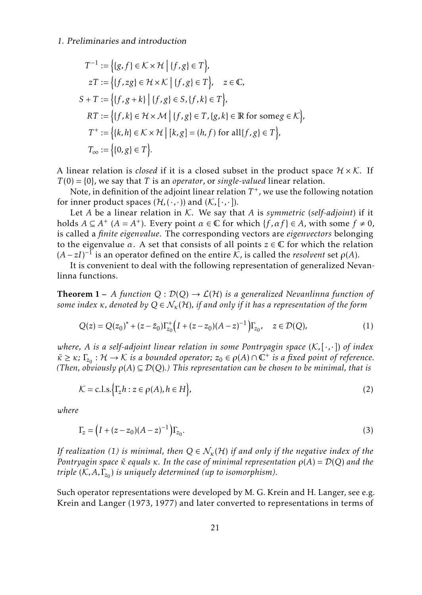$$
T^{-1} := \{ \{g, f\} \in \mathcal{K} \times \mathcal{H} \mid \{f, g\} \in T \},
$$
  
\n
$$
zT := \{ \{f, zg\} \in \mathcal{H} \times \mathcal{K} \mid \{f, g\} \in T \}, \quad z \in \mathbb{C},
$$
  
\n
$$
S + T := \{ \{f, g + k\} \mid \{f, g\} \in S, \{f, k\} \in T \},
$$
  
\n
$$
RT := \{ \{f, k\} \in \mathcal{H} \times \mathcal{M} \mid \{f, g\} \in T, \{g, k\} \in \mathbb{R} \text{ for some } g \in \mathcal{K} \},
$$
  
\n
$$
T^+ := \{ \{k, h\} \in \mathcal{K} \times \mathcal{H} \mid [k, g] = (h, f) \text{ for all } \{f, g\} \in T \},
$$
  
\n
$$
T_{\infty} := \{ \{0, g\} \in T \}.
$$

A linear relation is *closed* if it is a closed subset in the product space  $H \times K$ . If  $T(0) = \{0\}$ , we say that *T* is an *operator*, or *single-valued* linear relation.

Note, in definition of the adjoint linear relation  $T^+$ , we use the following notation for inner product spaces  $(\mathcal{H}, (\cdot, \cdot))$  and  $(\mathcal{K}, [\cdot, \cdot])$ .

Let *A* be a linear relation in *K*. We say that *A* is *symmetric* (*self-adjoint*) if it holds  $A \subseteq A^+$  ( $A = A^+$ ). Every point  $\alpha \in \mathbb{C}$  for which  $\{f, \alpha f\} \in A$ , with some  $f \neq 0$ , is called a *finite eigenvalue*. The corresponding vectors are *eigenvectors* belonging to the eigenvalue  $\alpha$ . A set that consists of all points  $z \in \mathbb{C}$  for which the relation  $(A - zI)^{-1}$  is an operator defined on the entire  $K$ , is called the *resolvent* set  $\rho(A)$ .

It is convenient to deal with the following representation of generalized Nevanlinna functions.

**Theorem 1** – *A function*  $Q: \mathcal{D}(Q) \to \mathcal{L}(\mathcal{H})$  *is a generalized Nevanlinna function of some index κ, denoted by*  $Q ∈ N<sub>k</sub>(H)$ *, if and only if it has a representation of the form* 

<span id="page-2-0"></span>
$$
Q(z) = Q(z_0)^* + (z - \bar{z}_0) \Gamma_{z_0}^+ \left( I + (z - z_0)(A - z)^{-1} \right) \Gamma_{z_0}, \quad z \in \mathcal{D}(Q), \tag{1}
$$

*where, A is a self-adjoint linear relation in some Pontryagin space* (K*,*[·*,*·]) *of index*  $\kappa \geq \kappa$ ;  $\Gamma_{z_0}$ :  $\mathcal{H} \to \mathcal{K}$  *is a bounded operator;*  $z_0 \in \rho(A) \cap \mathbb{C}^+$  *is a fixed point of reference. (Then, obviously*  $\rho(A) \subseteq \mathcal{D}(Q)$ *.) This representation can be chosen to be minimal, that is* 

<span id="page-2-1"></span>
$$
\mathcal{K} = \text{c.l.s.} \Big\{ \Gamma_z h : z \in \rho(A), h \in H \Big\},\tag{2}
$$

*where*

<span id="page-2-2"></span>
$$
\Gamma_z = \left(I + (z - z_0)(A - z)^{-1}\right)\Gamma_{z_0}.\tag{3}
$$

*If realization [\(1\)](#page-2-0) is minimal, then*  $Q \in \mathcal{N}_{\kappa}(\mathcal{H})$  *if and only if the negative index of the Pontryagin space*  $\tilde{\kappa}$  *equals*  $\kappa$ *. In the case of minimal representation*  $ρ(A) = D(Q)$  *and the triple* (K*,A,*Γ*z*<sup>0</sup> ) *is uniquely determined (up to isomorphism).*

Such operator representations were developed by M. G. Krein and H. Langer, see e.g. Krein and Langer [\(1973,](#page-22-3) [1977\)](#page-22-4) and later converted to representations in terms of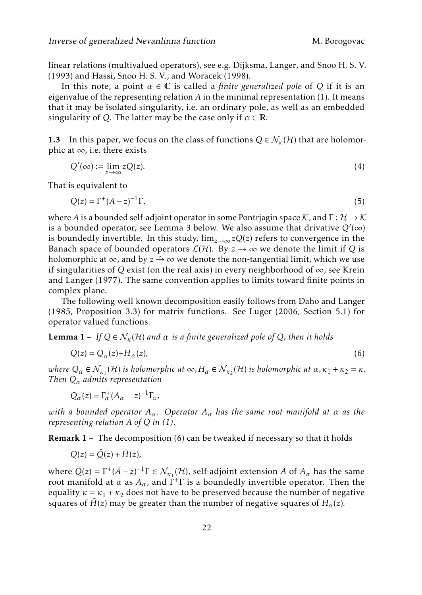linear relations (multivalued operators), see e.g. Dijksma, Langer, and Snoo H. S. V. [\(1993\)](#page-22-5) and Hassi, Snoo H. S. V., and Woracek [\(1998\)](#page-22-6).

In this note, a point  $\alpha \in \mathbb{C}$  is called a *finite generalized pole* of Q if it is an eigenvalue of the representing relation *A* in the minimal representation [\(1\)](#page-2-0). It means that it may be isolated singularity, i.e. an ordinary pole, as well as an embedded singularity of *Q*. The latter may be the case only if  $\alpha \in \mathbb{R}$ .

1.3 In this paper, we focus on the class of functions  $Q \in \mathcal{N}_{k}(\mathcal{H})$  that are holomorphic at  $\infty$ , i.e. there exists

<span id="page-3-3"></span>
$$
Q'(\infty) := \lim_{z \to \infty} zQ(z). \tag{4}
$$

That is equivalent to

<span id="page-3-2"></span>
$$
Q(z) = \Gamma^+(A-z)^{-1}\Gamma,\tag{5}
$$

where *A* is a bounded self-adjoint operator in some Pontrjagin space K, and  $\Gamma : \mathcal{H} \to \mathcal{K}$ is a bounded operator, see Lemma [3](#page-9-0) below. We also assume that drivative  $Q'(\infty)$ is boundedly invertible. In this study,  $\lim_{z\to\infty}zQ(z)$  refers to convergence in the Banach space of bounded operators  $\mathcal{L}(\mathcal{H})$ . By  $z \to \infty$  we denote the limit if *Q* is holomorphic at  $\infty$ , and by  $z \rightarrow \infty$  we denote the non-tangential limit, which we use if singularities of *Q* exist (on the real axis) in every neighborhood of  $\infty$ , see Krein and Langer [\(1977\)](#page-22-4). The same convention applies to limits toward finite points in complex plane.

The following well known decomposition easily follows from Daho and Langer [\(1985,](#page-22-7) Proposition 3.3) for matrix functions. See Luger [\(2006,](#page-23-2) Section 5.1) for operator valued functions.

**Lemma 1** – *If*  $Q \in \mathcal{N}_{k}(\mathcal{H})$  *and*  $\alpha$  *is a finite generalized pole of*  $Q$ *, then it holds* 

<span id="page-3-0"></span>
$$
Q(z) = Q_{\alpha}(z) + H_{\alpha}(z),\tag{6}
$$

*where*  $Q_{\alpha} \in \mathcal{N}_{\kappa_1}(\mathcal{H})$  *is holomorphic at*  $\infty$ ,  $H_{\alpha} \in \mathcal{N}_{\kappa_2}(\mathcal{H})$  *is holomorphic at*  $\alpha$ ,  $\kappa_1 + \kappa_2 = \kappa$ . *Then Q<sup>α</sup> admits representation*

 $Q_{\alpha}(z) = \Gamma_{\alpha}^{+}(A_{\alpha} - z)^{-1}\Gamma_{\alpha}$ *,* 

*with a bounded operator Aα. Operator A<sup>α</sup> has the same root manifold at α as the representing relation A of Q in [\(1\)](#page-2-0).*

<span id="page-3-1"></span>Remark 1 – The decomposition [\(6\)](#page-3-0) can be tweaked if necessary so that it holds

$$
Q(z) = \tilde{Q}(z) + \tilde{H}(z),
$$

where  $\tilde{Q}(z) = \Gamma^+(\tilde{A}-z)^{-1}\Gamma \in \mathcal{N}_{\kappa_1}(\mathcal{H})$ , self-adjoint extension  $\tilde{A}$  of  $A_\alpha$  has the same root manifold at  $\alpha$  as  $A_\alpha$ , and  $\dot{\Gamma}^+\Gamma$  is a boundedly invertible operator. Then the equality  $\kappa = \kappa_1 + \kappa_2$  does not have to be preserved because the number of negative squares of  $\tilde{H}(z)$  may be greater than the number of negative squares of  $H_{\alpha}(z)$ *.*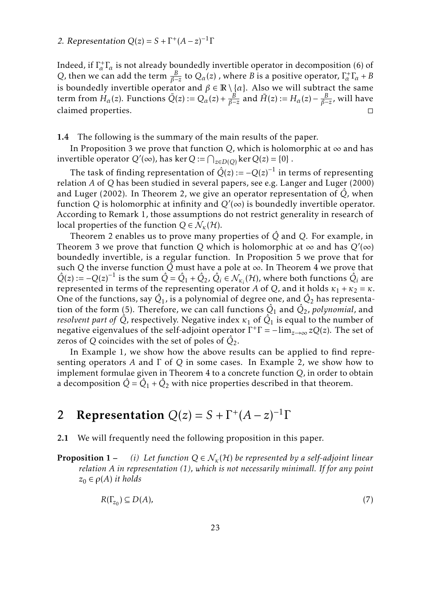#### 2. Representation  $Q(z) = S + \Gamma^{+}(A - z)^{-1}\Gamma$

Indeed, if  $\Gamma^+_{\alpha}$  is not already boundedly invertible operator in decomposition [\(6\)](#page-3-0) of *Q*, then we can add the term  $\frac{B}{\beta - z}$  to  $Q_{\alpha}(z)$  , where *B* is a positive operator,  $\Gamma_{\alpha}^{+}\Gamma_{\alpha} + B$ is boundedly invertible operator and  $\beta \in \mathbb{R} \setminus \{\alpha\}$ . Also we will subtract the same term from  $H_{\alpha}(z)$ . Functions  $\tilde{Q}(z) := Q_{\alpha}(z) + \frac{B}{\beta - z}$  and  $\tilde{H}(z) := H_{\alpha}(z) - \frac{B}{\beta - z}$ , will have claimed properties. □

1.4 The following is the summary of the main results of the paper.

In Proposition [3](#page-10-0) we prove that function  $Q$ , which is holomorphic at  $\infty$  and has invertible operator  $Q'(\infty)$ , has ker  $Q := \bigcap_{z \in D(Q)} \ker Q(z) = \{0\}$ .

The task of finding representation of  $\hat{Q}(z) := -Q(z)^{-1}$  in terms of representing relation *A* of *Q* has been studied in several papers, see e.g. Langer and Luger [\(2000\)](#page-22-8) and Luger [\(2002\)](#page-23-3). In Theorem [2,](#page-12-0) we give an operator representation of  $\dot{Q}$ , when function *Q* is holomorphic at infinity and  $Q'(\infty)$  is boundedly invertible operator. According to Remark [1,](#page-3-1) those assumptions do not restrict generality in research of local properties of the function  $Q \in \mathcal{N}_{\kappa}(\mathcal{H})$ .

Theorem [2](#page-12-0) enables us to prove many properties of *Q*ˆ and *Q*. For example, in Theorem [3](#page-14-0) we prove that function *Q* which is holomorphic at  $\infty$  and has  $Q'(\infty)$ boundedly invertible, is a regular function. In Proposition [5](#page-16-0) we prove that for such *Q* the inverse function  $\hat{Q}$  must have a pole at  $\infty$ . In Theorem [4](#page-18-0) we prove that  $\hat{Q}(z) := -Q(z)^{-1}$  is the sum  $\hat{Q} = \hat{Q}_1 + \hat{Q}_2$ ,  $\hat{Q}_i \in \mathcal{N}_{\kappa_i}(\mathcal{H})$ , where both functions  $\hat{Q}_i$  are represented in terms of the representing operator *A* of *Q*, and it holds  $\kappa_1 + \kappa_2 = \kappa$ . One of the functions, say  $\hat{Q}_1$ , is a polynomial of degree one, and  $\hat{Q}_2$  has representa-tion of the form [\(5\)](#page-3-2). Therefore, we can call functions  $\hat{Q}_1$  and  $\hat{Q}_2$ , *polynomial*, and *resolvent part of*  $\hat{Q}$ *,* respectively. Negative index  $\kappa_1$  of  $\hat{Q}_1$  is equal to the number of negative eigenvalues of the self-adjoint operator  $\Gamma^+\Gamma = -\lim_{z\to\infty} zQ(z)$ . The set of zeros of *Q* coincides with the set of poles of  $\hat{Q}_2$ .

In Example [1,](#page-15-0) we show how the above results can be applied to find representing operators *A* and Γ of *Q* in some cases. In Example [2,](#page-19-0) we show how to implement formulae given in Theorem [4](#page-18-0) to a concrete function *Q*, in order to obtain a decomposition  $\hat{Q} = \hat{Q}_1 + \hat{Q}_2$  with nice properties described in that theorem.

# <span id="page-4-2"></span>2 Representation  $Q(z) = S + \Gamma^{+}(A - z)^{-1}\Gamma$

<span id="page-4-0"></span>2.1 We will frequently need the following proposition in this paper.

**Proposition 1** – *(i)* Let function  $Q \in \mathcal{N}_{\kappa}(\mathcal{H})$  be represented by a self-adjoint linear *relation A in representation [\(1\)](#page-2-0), which is not necessarily minimall. If for any point*  $z_0 \in \rho(A)$  *it holds* 

<span id="page-4-1"></span>
$$
R(\Gamma_{z_0}) \subseteq D(A),\tag{7}
$$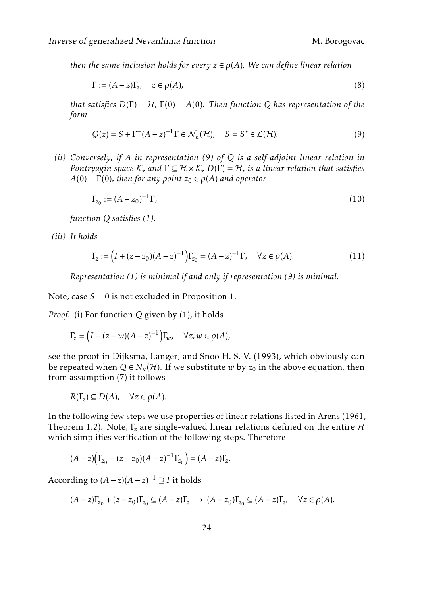*then the same inclusion holds for every*  $z \in \rho(A)$ *. We can define linear relation* 

<span id="page-5-1"></span>
$$
\Gamma := (A - z)\Gamma_z, \quad z \in \rho(A), \tag{8}
$$

*that satisfies*  $D(\Gamma) = H$ ,  $\Gamma(0) = A(0)$ *. Then function Q has representation of the form*

<span id="page-5-0"></span>
$$
Q(z) = S + \Gamma^{+} (A - z)^{-1} \Gamma \in \mathcal{N}_{\kappa}(\mathcal{H}), \quad S = S^{*} \in \mathcal{L}(\mathcal{H}).
$$
\n(9)

*(ii) Conversely, if A in representation [\(9\)](#page-5-0) of Q is a self-adjoint linear relation in Pontryagin space* K, and  $\Gamma \subseteq H \times K$ ,  $D(\Gamma) = H$ , is a linear relation that satisfies  $A(0) = \Gamma(0)$ *, then for any point*  $z_0 \in \rho(A)$  *and operator* 

<span id="page-5-2"></span>
$$
\Gamma_{z_0} := (A - z_0)^{-1} \Gamma,\tag{10}
$$

*function Q satisfies [\(1\)](#page-2-0).*

*(iii) It holds*

<span id="page-5-3"></span>
$$
\Gamma_z := (I + (z - z_0)(A - z)^{-1})\Gamma_{z_0} = (A - z)^{-1}\Gamma, \quad \forall z \in \rho(A).
$$
\n(11)

*Representation [\(1\)](#page-2-0) is minimal if and only if representation [\(9\)](#page-5-0) is minimal.*

Note, case  $S = 0$  is not excluded in Proposition [1.](#page-4-0)

*Proof.* (i) For function *Q* given by [\(1\)](#page-2-0), it holds

$$
\Gamma_z = \left(I + (z - w)(A - z)^{-1}\right)\Gamma_w, \quad \forall z, w \in \rho(A),
$$

see the proof in Dijksma, Langer, and Snoo H. S. V. [\(1993\)](#page-22-5), which obviously can be repeated when  $Q \in N_{\kappa}(\mathcal{H})$ . If we substitute *w* by  $z_0$  in the above equation, then from assumption [\(7\)](#page-4-1) it follows

$$
R(\Gamma_z)\subseteq D(A),\quad \forall z\in \rho(A).
$$

In the following few steps we use properties of linear relations listed in Arens [\(1961,](#page-22-2) Theorem 1.2). Note,  $\Gamma$ <sub>z</sub> are single-valued linear relations defined on the entire  $H$ which simplifies verification of the following steps. Therefore

$$
(A-z)\big(\Gamma_{z_0}+(z-z_0)(A-z)^{-1}\Gamma_{z_0}\big)=(A-z)\Gamma_z.
$$

According to  $(A - z)(A - z)^{-1} \supseteq I$  it holds

$$
(A-z)\Gamma_{z_0} + (z-z_0)\Gamma_{z_0} \subseteq (A-z)\Gamma_z \implies (A-z_0)\Gamma_{z_0} \subseteq (A-z)\Gamma_z, \quad \forall z \in \rho(A).
$$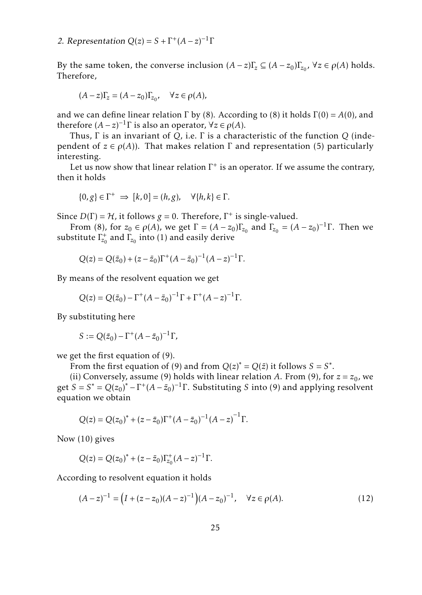By the same token, the converse inclusion  $(A - z)\Gamma_z \subseteq (A - z_0)\Gamma_{z_0}$ ,  $\forall z \in \rho(A)$  holds. Therefore,

$$
(A-z)\Gamma_z=(A-z_0)\Gamma_{z_0},\quad \forall z\in\rho(A),
$$

and we can define linear relation  $\Gamma$  by [\(8\)](#page-5-1). According to (8) it holds  $\Gamma(0) = A(0)$ , and therefore  $(A - z)^{-1} \Gamma$  is also an operator,  $\forall z \in \rho(A)$ .

Thus, Γ is an invariant of *Q*, i.e. Γ is a characteristic of the function *Q* (independent of *z*  $\in$  *ρ*(*A*)). That makes relation Γ and representation [\(5\)](#page-3-2) particularly interesting.

Let us now show that linear relation  $\Gamma^+$  is an operator. If we assume the contrary, then it holds

$$
\{0,g\} \in \Gamma^+ \implies [k,0] = (h,g), \quad \forall \{h,k\} \in \Gamma.
$$

Since  $D(\Gamma) = H$ , it follows  $g = 0$ . Therefore,  $\Gamma^+$  is single-valued.

From [\(8\)](#page-5-1), for  $z_0 \in \rho(A)$ , we get  $\Gamma = (A - z_0) \Gamma_{z_0}$  and  $\Gamma_{z_0} = (A - z_0)^{-1} \Gamma$ . Then we substitute  $\Gamma_{\!z_0}^{\!+}$  and  $\Gamma_{\!z_0}$  into [\(1\)](#page-2-0) and easily derive

$$
Q(z) = Q(\bar{z}_0) + (z - \bar{z}_0) \Gamma^+ (A - \bar{z}_0)^{-1} (A - z)^{-1} \Gamma.
$$

By means of the resolvent equation we get

$$
Q(z) = Q(\bar{z}_0) - \Gamma^+(A - \bar{z}_0)^{-1}\Gamma + \Gamma^+(A - z)^{-1}\Gamma.
$$

By substituting here

$$
S:=Q(\bar{z}_0)-\Gamma^+(A-\bar{z}_0)^{-1}\Gamma,
$$

we get the first equation of [\(9\)](#page-5-0).

From the first equation of [\(9\)](#page-5-0) and from  $Q(z)^* = Q(\bar{z})$  it follows  $S = S^*$ .

(ii) Conversely, assume [\(9\)](#page-5-0) holds with linear relation *A*. From (9), for  $z = z_0$ , we get  $S = S^* = Q(z_0)^* - \Gamma^+(A - \bar{z}_0)^{-1}\Gamma$ . Substituting *S* into [\(9\)](#page-5-0) and applying resolvent equation we obtain

$$
Q(z) = Q(z_0)^* + (z - \bar{z}_0) \Gamma^+ (A - \bar{z}_0)^{-1} (A - z)^{-1} \Gamma.
$$

Now [\(10\)](#page-5-2) gives

$$
Q(z) = Q(z_0)^* + (z - \bar{z}_0) \Gamma_{z_0}^+ (A - z)^{-1} \Gamma.
$$

According to resolvent equation it holds

<span id="page-6-0"></span>
$$
(A-z)^{-1} = (I + (z-z_0)(A-z)^{-1})(A-z_0)^{-1}, \quad \forall z \in \rho(A).
$$
 (12)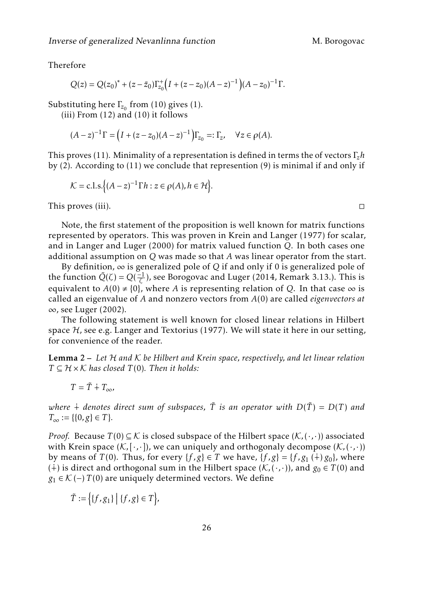Therefore

$$
Q(z) = Q(z_0)^* + (z - \bar{z}_0) \Gamma_{z_0}^+ \left( I + (z - z_0)(A - z)^{-1} \right) (A - z_0)^{-1} \Gamma.
$$

Substituting here  $\Gamma_{z_0}$  from [\(10\)](#page-5-2) gives [\(1\)](#page-2-0).

(iii) From [\(12\)](#page-6-0) and [\(10\)](#page-5-2) it follows

$$
(A-z)^{-1}\Gamma = (I + (z-z_0)(A-z)^{-1})\Gamma_{z_0} =: \Gamma_z, \quad \forall z \in \rho(A).
$$

This proves [\(11\)](#page-5-3). Minimality of a representation is defined in terms the of vectors Γ*zh* by [\(2\)](#page-2-1). According to [\(11\)](#page-5-3) we conclude that represention [\(9\)](#page-5-0) is minimal if and only if

$$
\mathcal{K} = \text{c.l.s.}\Big\{ (A-z)^{-1} \Gamma h : z \in \rho(A), h \in \mathcal{H} \Big\}.
$$

This proves (iii). □

Note, the first statement of the proposition is well known for matrix functions represented by operators. This was proven in Krein and Langer [\(1977\)](#page-22-4) for scalar, and in Langer and Luger [\(2000\)](#page-22-8) for matrix valued function *Q*. In both cases one additional assumption on *Q* was made so that *A* was linear operator from the start.

By definition,  $\infty$  is generalized pole of Q if and only if 0 is generalized pole of the function  $\tilde{Q}(\zeta) = Q(\frac{-1}{\zeta})$ , see Borogovac and Luger [\(2014,](#page-22-9) Remark 3.13.). This is equivalent to  $A(0) \neq \{0\}$ , where *A* is representing relation of *Q*. In that case  $\infty$  is called an eigenvalue of *A* and nonzero vectors from *A*(0) are called *eigenvectors at* ∞, see Luger [\(2002\)](#page-23-3).

The following statement is well known for closed linear relations in Hilbert space  $H$ , see e.g. Langer and Textorius [\(1977\)](#page-23-4). We will state it here in our setting, for convenience of the reader.

<span id="page-7-0"></span>Lemma 2 – *Let* H *and* K *be Hilbert and Krein space, respectively, and let linear relation*  $T \subseteq H \times K$  *has closed*  $T(0)$ *. Then it holds:* 

$$
T = \tilde{T} \dotplus T_{\infty},
$$

*where*  $\dot{+}$  *denotes direct sum of subspaces,*  $\tilde{T}$  *is an operator with*  $D(\tilde{T}) = D(T)$  *and*  $T_{\infty} := \{ \{0, g\} \in T \}.$ 

*Proof.* Because  $T(0) \subseteq K$  is closed subspace of the Hilbert space  $(K, \langle \cdot, \cdot \rangle)$  associated with Krein space  $(K, [\cdot, \cdot])$ , we can uniquely and orthogonaly decompose  $(K, (\cdot, \cdot))$ by means of *T*(0). Thus, for every {*f*,*g*}  $\in$  *T* we have, {*f*,*g*} = {*f*,*g*<sub>1</sub>(+) *g*<sub>0</sub>}, where (∔) is direct and orthogonal sum in the Hilbert space ( $K$ ,(⋅,⋅)), and  $g_0 \in T(0)$  and *g*<sub>1</sub> ∈  $K$  (−) *T*(0) are uniquely determined vectors. We define

$$
\tilde{T} := \Big\{ \{f, g_1\} \Big| \{f, g\} \in T \Big\},\
$$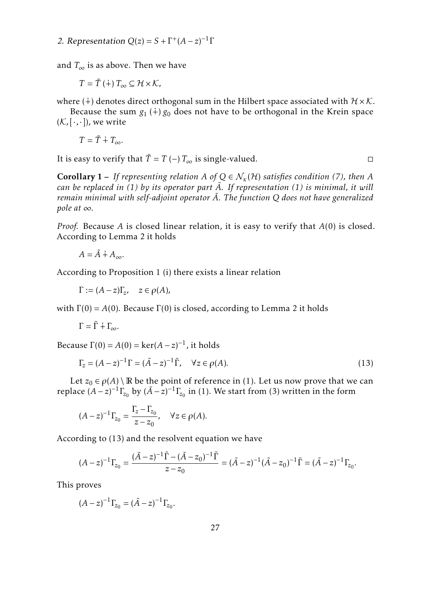2. Representation  $Q(z) = S + \Gamma^{+}(A - z)^{-1}\Gamma$ 

and  $T_{\infty}$  is as above. Then we have

$$
T=\tilde{T}(\dot{+})T_{\infty}\subseteq\mathcal{H}\times\mathcal{K},
$$

where (∔) denotes direct orthogonal sum in the Hilbert space associated with  $H \times K$ .

Because the sum  $g_1$  ( $\dot{+}$ )  $g_0$  does not have to be orthogonal in the Krein space  $(K, [\cdot, \cdot])$ , we write

$$
T = \tilde{T} + T_{\infty}.
$$

It is easy to verify that  $\tilde{T} = T(-) T_{\infty}$  is single-valued.  $\square$ 

**Corollary 1** – *If representing relation A of*  $Q \in \mathcal{N}_{k}(\mathcal{H})$  *satisfies condition* [\(7\)](#page-4-1)*, then A can be replaced in [\(1\)](#page-2-0) by its operator part A*˜*. If representation [\(1\)](#page-2-0) is minimal, it will remain minimal with self-adjoint operator A*˜*. The function Q does not have generalized pole at*  $\infty$ *.* 

*Proof.* Because *A* is closed linear relation, it is easy to verify that *A*(0) is closed. According to Lemma [2](#page-7-0) it holds

$$
A = \tilde{A} \dot{+} A_{\infty}.
$$

According to Proposition [1](#page-4-0) (i) there exists a linear relation

 $\Gamma := (A - z)\Gamma_z, \quad z \in \rho(A),$ 

with  $\Gamma(0) = A(0)$ . Because  $\Gamma(0)$  is closed, according to Lemma [2](#page-7-0) it holds

$$
\Gamma=\tilde{\Gamma}\dotplus\Gamma_{\!\infty}.
$$

Because  $\Gamma(0) = A(0) = \ker(A - z)^{-1}$ , it holds

<span id="page-8-0"></span>
$$
\Gamma_z = (A - z)^{-1} \Gamma = (\tilde{A} - z)^{-1} \tilde{\Gamma}, \quad \forall z \in \rho(A). \tag{13}
$$

Let  $z_0 \in \rho(A) \setminus \mathbb{R}$  be the point of reference in [\(1\)](#page-2-0). Let us now prove that we can replace  $(A-z)^{-1}\Gamma_{z_0}$  by  $(\tilde{A}-z)^{-1}\Gamma_{z_0}$  in [\(1\)](#page-2-0). We start from [\(3\)](#page-2-2) written in the form

$$
(A - z)^{-1} \Gamma_{z_0} = \frac{\Gamma_z - \Gamma_{z_0}}{z - z_0}, \quad \forall z \in \rho(A).
$$

According to [\(13\)](#page-8-0) and the resolvent equation we have

$$
(A-z)^{-1}\Gamma_{z_0} = \frac{(\tilde{A}-z)^{-1}\tilde{\Gamma}-(\tilde{A}-z_0)^{-1}\tilde{\Gamma}}{z-z_0} = (\tilde{A}-z)^{-1}(\tilde{A}-z_0)^{-1}\tilde{\Gamma} = (\tilde{A}-z)^{-1}\Gamma_{z_0}.
$$

This proves

$$
(A-z)^{-1}\Gamma_{z_0} = (\tilde{A}-z)^{-1}\Gamma_{z_0}.
$$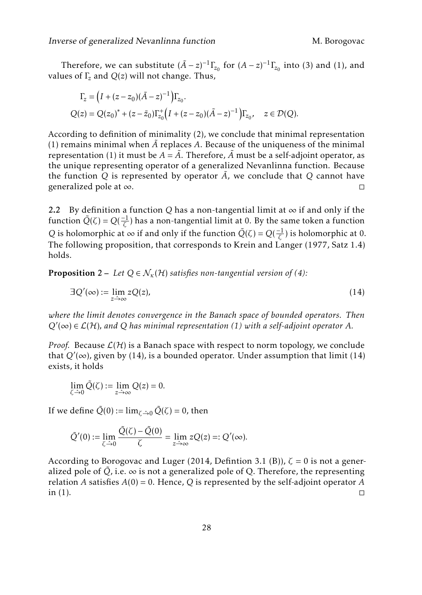Therefore, we can substitute  $(A - z)^{-1} \Gamma_{z_0}$  for  $(A - z)^{-1} \Gamma_{z_0}$  into [\(3\)](#page-2-2) and [\(1\)](#page-2-0), and values of Γ*<sup>z</sup>* and *Q*(*z*) will not change. Thus,

$$
\Gamma_z = (I + (z - z_0)(\tilde{A} - z)^{-1})\Gamma_{z_0}.
$$
  
 
$$
Q(z) = Q(z_0)^* + (z - \bar{z}_0)\Gamma_{z_0}^+ (I + (z - z_0)(\tilde{A} - z)^{-1})\Gamma_{z_0}, \quad z \in \mathcal{D}(Q).
$$

According to definition of minimality [\(2\)](#page-2-1), we conclude that minimal representation  $(1)$  remains minimal when  $\tilde{A}$  replaces  $A$ . Because of the uniqueness of the minimal representation [\(1\)](#page-2-0) it must be  $A = \tilde{A}$ . Therefore,  $\tilde{A}$  must be a self-adjoint operator, as the unique representing operator of a generalized Nevanlinna function. Because the function  $Q$  is represented by operator  $\tilde{A}$ , we conclude that  $Q$  cannot have generalized pole at ∞.  $□$ 

2.2 By definition a function *Q* has a non-tangential limit at  $\infty$  if and only if the function  $\tilde{Q}(\zeta) = Q(\frac{-1}{\zeta})$  has a non-tangential limit at 0. By the same token a function *Q* is holomorphic at  $\infty$  if and only if the function  $\tilde{Q}(\zeta) = Q(\frac{-1}{\zeta})$  is holomorphic at 0. The following proposition, that corresponds to Krein and Langer [\(1977,](#page-22-4) Satz 1.4) holds.

<span id="page-9-2"></span>**Proposition** 2 – Let  $Q \in \mathcal{N}_{\kappa}(\mathcal{H})$  *satisfies non-tangential version of [\(4\)](#page-3-3):* 

<span id="page-9-1"></span>
$$
\exists Q'(\infty) := \lim_{z \to \infty} zQ(z),\tag{14}
$$

*where the limit denotes convergence in the Banach space of bounded operators. Then*  $Q'(\infty) \in \mathcal{L}(\mathcal{H})$ , and Q has minimal representation [\(1\)](#page-2-0) with a self-adjoint operator A.

*Proof.* Because  $\mathcal{L}(\mathcal{H})$  is a Banach space with respect to norm topology, we conclude that *Q*′ (∞), given by [\(14\)](#page-9-1), is a bounded operator. Under assumption that limit [\(14\)](#page-9-1) exists, it holds

$$
\lim_{\zeta \to 0} \tilde{Q}(\zeta) := \lim_{z \to \infty} Q(z) = 0.
$$

If we define  $\tilde{Q}(0) := \lim_{\zeta \to 0} \tilde{Q}(\zeta) = 0$ , then

$$
\tilde{Q}'(0) := \lim_{\zeta \to 0} \frac{\tilde{Q}(\zeta) - \tilde{Q}(0)}{\zeta} = \lim_{z \to \infty} zQ(z) =: Q'(\infty).
$$

<span id="page-9-0"></span>According to Borogovac and Luger [\(2014,](#page-22-9) Defintion 3.1 (B)), *ζ* = 0 is not a generalized pole of  $Q$ , i.e.  $\infty$  is not a generalized pole of Q. Therefore, the representing relation *A* satisfies *A*(0) = 0. Hence, *Q* is represented by the self-adjoint operator *A* in [\(1\)](#page-2-0).  $\Box$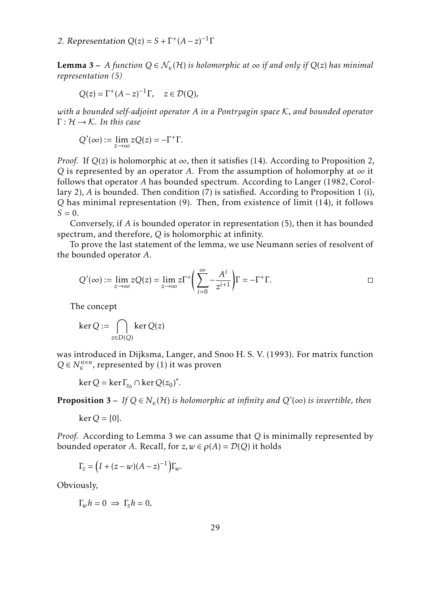2. Representation  $Q(z) = S + \Gamma^{+}(A - z)^{-1}\Gamma$ 

**Lemma 3** – *A function*  $Q \in \mathcal{N}_{k}(\mathcal{H})$  *is holomorphic at*  $\infty$  *if and only if*  $Q(z)$  *has minimal representation [\(5\)](#page-3-2)*

$$
Q(z) = \Gamma^+(A-z)^{-1}\Gamma, \quad z \in \mathcal{D}(Q),
$$

*with a bounded self-adjoint operator A in a Pontryagin space* K*, and bounded operator* Γ : H → K*. In this case*

$$
Q'(\infty) := \lim_{z \to \infty} zQ(z) = -\Gamma^+ \Gamma.
$$

*Proof.* If  $Q(z)$  is holomorphic at  $\infty$ , then it satisfies [\(14\)](#page-9-1). According to Proposition [2,](#page-9-2) *Q* is represented by an operator *A*. From the assumption of holomorphy at  $\infty$  it follows that operator *A* has bounded spectrum. According to Langer [\(1982,](#page-22-10) Corollary 2), *A* is bounded. Then condition [\(7\)](#page-4-1) is satisfied. According to Proposition [1](#page-4-0) (i), *Q* has minimal representation [\(9\)](#page-5-0). Then, from existence of limit [\(14\)](#page-9-1), it follows  $S = 0$ .

Conversely, if *A* is bounded operator in representation [\(5\)](#page-3-2), then it has bounded spectrum, and therefore, *Q* is holomorphic at infinity.

To prove the last statement of the lemma, we use Neumann series of resolvent of the bounded operator *A*.

$$
Q'(\infty) := \lim_{z \to \infty} zQ(z) = \lim_{z \to \infty} z\Gamma^+ \bigg(\sum_{i=0}^{\infty} -\frac{A^i}{z^{i+1}}\bigg)\Gamma = -\Gamma^+\Gamma.
$$

The concept

$$
\ker Q := \bigcap_{z \in D(Q)} \ker Q(z)
$$

was introduced in Dijksma, Langer, and Snoo H. S. V. [\(1993\)](#page-22-5). For matrix function  $Q \in N_K^{n \times n}$ , represented by [\(1\)](#page-2-0) it was proven

 $\ker Q = \ker \Gamma_{z_0} \cap \ker Q(z_0)^*$ .

<span id="page-10-0"></span>**Proposition 3** – If  $Q \in N_{\kappa}(\mathcal{H})$  is holomorphic at infinity and  $Q'(\infty)$  is invertible, then

 $ker Q = \{0\}.$ 

*Proof.* According to Lemma [3](#page-9-0) we can assume that *Q* is minimally represented by bounded operator *A*. Recall, for  $z, w \in \rho(A) = \mathcal{D}(Q)$  it holds

$$
\Gamma_z = \left(I + (z - w)(A - z)^{-1}\right)\Gamma_w.
$$

Obviously,

$$
\Gamma_w h = 0 \implies \Gamma_z h = 0,
$$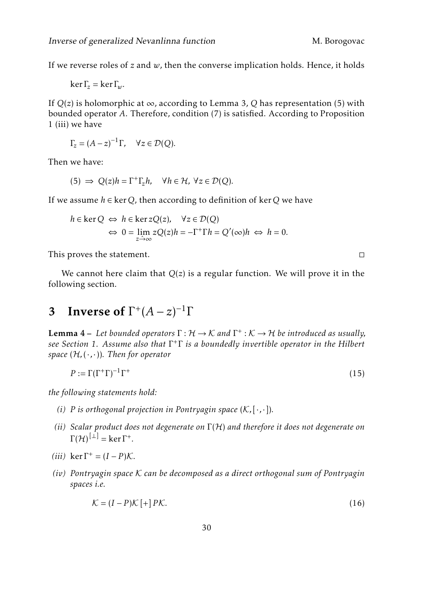If we reverse roles of *z* and *w*, then the converse implication holds. Hence, it holds

$$
\ker \Gamma_z = \ker \Gamma_w.
$$

If  $Q(z)$  is holomorphic at  $\infty$ , according to Lemma [3,](#page-9-0) Q has representation [\(5\)](#page-3-2) with bounded operator *A*. Therefore, condition [\(7\)](#page-4-1) is satisfied. According to Proposition [1](#page-4-0) (iii) we have

$$
\Gamma_z = (A - z)^{-1} \Gamma, \quad \forall z \in \mathcal{D}(Q).
$$

Then we have:

$$
(5) \Rightarrow Q(z)h = \Gamma^{+}\Gamma_{z}h, \quad \forall h \in \mathcal{H}, \ \forall z \in \mathcal{D}(Q).
$$

If we assume *h* ∈ ker*Q*, then according to definition of ker*Q* we have

$$
h \in \ker Q \iff h \in \ker zQ(z), \quad \forall z \in \mathcal{D}(Q)
$$
  

$$
\iff 0 = \lim_{z \to \infty} zQ(z)h = -\Gamma^+ \Gamma h = Q'(\infty)h \iff h = 0.
$$

This proves the statement. □

We cannot here claim that *Q*(*z*) is a regular function. We will prove it in the following section.

# <span id="page-11-3"></span>3 Inverse of  $\Gamma^+(A-z)^{-1}\Gamma$

<span id="page-11-1"></span>**Lemma 4** – Let bounded operators  $\Gamma : \mathcal{H} \to \mathcal{K}$  and  $\Gamma^+ : \mathcal{K} \to \mathcal{H}$  be introduced as usually, *see Section [1.](#page-0-0) Assume also that* Γ + Γ *is a boundedly invertible operator in the Hilbert space* (H*,*(·*,*·))*. Then for operator*

$$
P := \Gamma(\Gamma^+\Gamma)^{-1}\Gamma^+\tag{15}
$$

*the following statements hold:*

- *(i) P* is orthogonal projection in Pontryagin space  $(K, [\cdot, \cdot])$ .
- *(ii) Scalar product does not degenerate on* Γ(H) *and therefore it does not degenerate on*  $\Gamma(\mathcal{H})^{[\perp]} = \ker \Gamma^+.$
- $(iii)$  ker  $\Gamma^+ = (I P)\mathcal{K}$ .
- *(iv) Pontryagin space* K *can be decomposed as a direct orthogonal sum of Pontryagin spaces i.e.*

$$
\mathcal{K} = (I - P)\mathcal{K} + P\mathcal{K}.\tag{16}
$$

<span id="page-11-2"></span><span id="page-11-0"></span>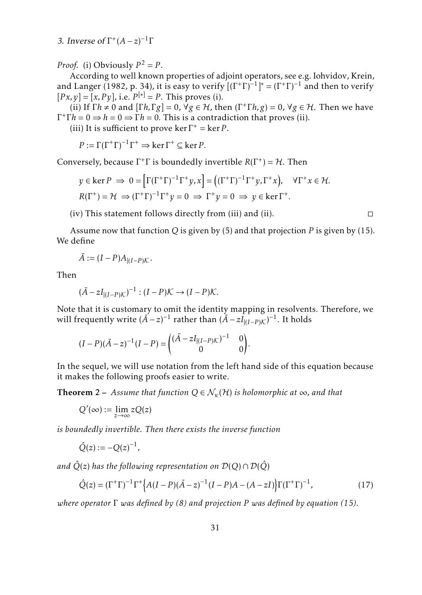3. Inverse of  $\Gamma^+(A-z)^{-1}\Gamma$ 

*Proof.* (i) Obviously  $P^2 = P$ .

According to well known properties of adjoint operators, see e.g. Iohvidov, Krein, and Langer [\(1982,](#page-22-1) p. 34), it is easy to verify  $[(\Gamma^+\Gamma)^{-1}]^* = (\Gamma^+\Gamma)^{-1}$  and then to verify  $[Px, y] = [x, Py]$ , i.e.  $P^{[*]} = P$ . This proves (i).

(ii) If  $\Gamma h \neq 0$  and  $[\Gamma h, \Gamma g] = 0$ ,  $\forall g \in H$ , then  $(\Gamma^+ \Gamma h, g) = 0$ ,  $\forall g \in H$ . Then we have  $\Gamma^+ \Gamma h = 0 \Rightarrow h = 0 \Rightarrow \Gamma h = 0$ . This is a contradiction that proves (ii).

(iii) It is sufficient to prove  $\ker \Gamma^+ = \ker P$ .

$$
P := \Gamma(\Gamma^+\Gamma)^{-1}\Gamma^+ \Rightarrow \ker \Gamma^+ \subseteq \ker P.
$$

Conversely, because  $\Gamma^+\Gamma$  is boundedly invertible  $R(\Gamma^+) = H$ . Then

$$
y \in \ker P \implies 0 = \left[\Gamma(\Gamma^+\Gamma)^{-1}\Gamma^+y, x\right] = \left((\Gamma^+\Gamma)^{-1}\Gamma^+y, \Gamma^+x\right), \quad \forall \Gamma^+x \in \mathcal{H}.
$$
  

$$
R(\Gamma^+) = \mathcal{H} \implies (\Gamma^+\Gamma)^{-1}\Gamma^+y = 0 \implies \Gamma^+y = 0 \implies y \in \ker \Gamma^+.
$$

 $(iv)$  This statement follows directly from (iii) and (ii).  $\Box$ 

Assume now that function *Q* is given by [\(5\)](#page-3-2) and that projection *P* is given by [\(15\)](#page-11-0). We define

$$
\tilde{A} := (I - P)A_{|(I - P)K}.
$$

Then

$$
(\tilde{A} - zI_{|(I-P)\mathcal{K}})^{-1} : (I - P)\mathcal{K} \to (I - P)\mathcal{K}.
$$

Note that it is customary to omit the identity mapping in resolvents. Therefore, we will frequently write  $(\widetilde{A} - z)^{-1}$  rather than  $(\widetilde{A} - zI_{|(I - P)K})^{-1}$ . It holds

$$
(I - P)(\tilde{A} - z)^{-1}(I - P) = \begin{pmatrix} (\tilde{A} - zI_{|(I - P)K})^{-1} & 0\\ 0 & 0 \end{pmatrix}
$$

In the sequel, we will use notation from the left hand side of this equation because it makes the following proofs easier to write.

<span id="page-12-1"></span>*.*

<span id="page-12-0"></span>**Theorem 2** – *Assume that function*  $Q \in \mathcal{N}_{\kappa}(\mathcal{H})$  *is holomorphic at*  $\infty$ *, and that* 

$$
Q'(\infty):=\lim_{z\to\infty}zQ(z)
$$

*is boundedly invertible. Then there exists the inverse function*

$$
\hat{Q}(z) := -Q(z)^{-1},
$$

*and*  $\hat{Q}(z)$  *has the following representation on*  $\mathcal{D}(Q) \cap \mathcal{D}(\hat{Q})$ 

$$
\hat{Q}(z) = (\Gamma^+ \Gamma)^{-1} \Gamma^+ \Big\{ A(I - P)(\tilde{A} - z)^{-1} (I - P)A - (A - zI) \Big\} \Gamma (\Gamma^+ \Gamma)^{-1},\tag{17}
$$

*where operator* Γ *was defined by [\(8\)](#page-5-1) and projection P was defined by equation [\(15\)](#page-11-0).*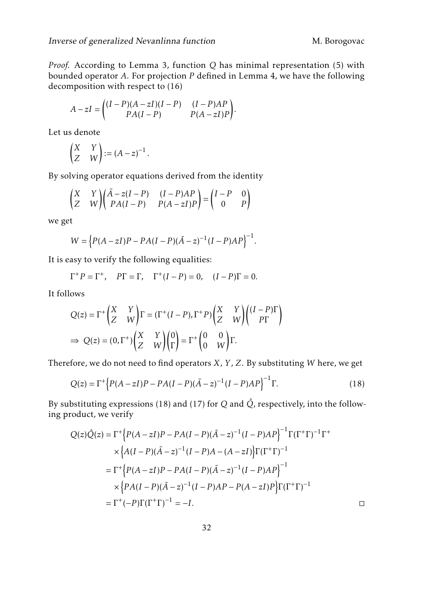*Proof.* According to Lemma [3,](#page-9-0) function *Q* has minimal representation [\(5\)](#page-3-2) with bounded operator *A*. For projection *P* defined in Lemma [4,](#page-11-1) we have the following decomposition with respect to [\(16\)](#page-11-2)

$$
A - zI = \begin{pmatrix} (I - P)(A - zI)(I - P) & (I - P)AP \\ PA(I - P) & P(A - zI)P \end{pmatrix}.
$$

Let us denote

$$
\begin{pmatrix} X & Y \\ Z & W \end{pmatrix} := (A - z)^{-1}.
$$

By solving operator equations derived from the identity

$$
\begin{pmatrix} X & Y \\ Z & W \end{pmatrix} \begin{pmatrix} \tilde{A} - z(I - P) & (I - P)AP \\ PA(I - P) & P(A - zI)P \end{pmatrix} = \begin{pmatrix} I - P & 0 \\ 0 & P \end{pmatrix}
$$

we get

$$
W = \left\{ P(A - zI)P - PA(I - P)(A - z)^{-1}(I - P)AP \right\}^{-1}.
$$

It is easy to verify the following equalities:

$$
\Gamma^+ P = \Gamma^+, \quad P\Gamma = \Gamma, \quad \Gamma^+(I - P) = 0, \quad (I - P)\Gamma = 0.
$$

It follows

$$
Q(z) = \Gamma^+ \begin{pmatrix} X & Y \\ Z & W \end{pmatrix} \Gamma = (\Gamma^+ (I - P), \Gamma^+ P) \begin{pmatrix} X & Y \\ Z & W \end{pmatrix} \begin{pmatrix} (I - P)\Gamma \\ P\Gamma \end{pmatrix}
$$
  
\n
$$
\Rightarrow Q(z) = (0, \Gamma^+) \begin{pmatrix} X & Y \\ Z & W \end{pmatrix} \begin{pmatrix} 0 \\ \Gamma \end{pmatrix} = \Gamma^+ \begin{pmatrix} 0 & 0 \\ 0 & W \end{pmatrix} \Gamma.
$$

Therefore, we do not need to find operators *X*, *Y* , *Z*. By substituting *W* here, we get

<span id="page-13-0"></span>
$$
Q(z) = \Gamma^{+} \Big\{ P(A - zI)P - PA(I - P)(A - z)^{-1}(I - P)AP \Big\}^{-1} \Gamma.
$$
 (18)

By substituting expressions [\(18\)](#page-13-0) and [\(17\)](#page-12-1) for  $Q$  and  $\hat{Q}$ , respectively, into the following product, we verify

$$
Q(z)\hat{Q}(z) = \Gamma^{+}\Big{P(A-zI)P - PA(I-P)(\tilde{A}-z)^{-1}(I-P)AP\Big}^{-1}\Gamma(\Gamma^{+}\Gamma)^{-1}\Gamma^{+}
$$
  
 
$$
\times \Big{A(I-P)(\tilde{A}-z)^{-1}(I-P)A-(A-zI)\Big{\Gamma(\Gamma^{+}\Gamma)^{-1}}}
$$
  
 
$$
= \Gamma^{+}\Big{P(A-zI)P - PA(I-P)(\tilde{A}-z)^{-1}(I-P)AP\Big}^{-1}
$$
  
 
$$
\times \Big{P A(I-P)(\tilde{A}-z)^{-1}(I-P)AP - P(A-zI)P\Big{\Gamma(\Gamma^{+}\Gamma)^{-1}}}
$$
  
 
$$
= \Gamma^{+}(-P)\Gamma(\Gamma^{+}\Gamma)^{-1} = -I.
$$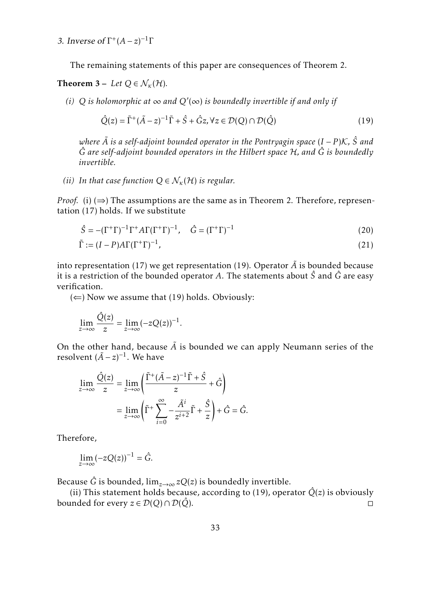3. Inverse of  $\Gamma^+(A-z)^{-1}\Gamma$ 

The remaining statements of this paper are consequences of Theorem [2.](#page-12-0)

<span id="page-14-0"></span>**Theorem 3** – Let  $Q \in \mathcal{N}_{k}(\mathcal{H})$ .

 $(i)$  Q is holomorphic at ∞ and  $Q'$ (∞) is boundedly invertible if and only if

<span id="page-14-1"></span>
$$
\hat{Q}(z) = \tilde{\Gamma}^+ (\tilde{A} - z)^{-1} \tilde{\Gamma} + \hat{S} + \hat{G} z, \forall z \in \mathcal{D}(Q) \cap \mathcal{D}(\hat{Q})
$$
\n(19)

*where A*˜ *is a self-adjoint bounded operator in the Pontryagin space* (*I* − *P* )K*, S*ˆ *and G*ˆ *are self-adjoint bounded operators in the Hilbert space* H*, and G*ˆ *is boundedly invertible.*

*(ii)* In that case function  $Q \in \mathcal{N}_{\kappa}(\mathcal{H})$  is regular.

*Proof.* (i)  $(\Rightarrow)$  The assumptions are the same as in Theorem [2.](#page-12-0) Therefore, representation [\(17\)](#page-12-1) holds. If we substitute

<span id="page-14-3"></span><span id="page-14-2"></span>
$$
\hat{S} = -(\Gamma^+\Gamma)^{-1}\Gamma^+A\Gamma(\Gamma^+\Gamma)^{-1}, \quad \hat{G} = (\Gamma^+\Gamma)^{-1}
$$
\n(20)

$$
\tilde{\Gamma} := (I - P)A\Gamma(\Gamma^+\Gamma)^{-1},\tag{21}
$$

into representation [\(17\)](#page-12-1) we get representation [\(19\)](#page-14-1). Operator  $\tilde{A}$  is bounded because it is a restriction of the bounded operator *A*. The statements about *S*ˆ and *G*ˆ are easy verification.

( $\Leftarrow$ ) Now we assume that [\(19\)](#page-14-1) holds. Obviously:

$$
\lim_{z \to \infty} \frac{\hat{Q}(z)}{z} = \lim_{z \to \infty} (-zQ(z))^{-1}.
$$

On the other hand, because  $\tilde{A}$  is bounded we can apply Neumann series of the resolvent  $(\tilde{A} - z)^{-1}$ . We have

$$
\lim_{z \to \infty} \frac{\hat{Q}(z)}{z} = \lim_{z \to \infty} \left( \frac{\tilde{\Gamma}^+ (\tilde{A} - z)^{-1} \tilde{\Gamma} + \hat{S}}{z} + \hat{G} \right)
$$

$$
= \lim_{z \to \infty} \left( \tilde{\Gamma}^+ \sum_{i=0}^{\infty} -\frac{\tilde{A}^i}{z^{i+2}} \tilde{\Gamma} + \frac{\hat{S}}{z} \right) + \hat{G} = \hat{G}.
$$

Therefore,

$$
\lim_{z \to \infty} (-zQ(z))^{-1} = \hat{G}.
$$

Because  $\hat{G}$  is bounded,  $\lim_{z\to\infty}zQ(z)$  is boundedly invertible.

(ii) This statement holds because, according to [\(19\)](#page-14-1), operator  $\hat{Q}(z)$  is obviously bounded for every  $z \in \mathcal{D}(Q) \cap \mathcal{D}(\hat{Q})$ .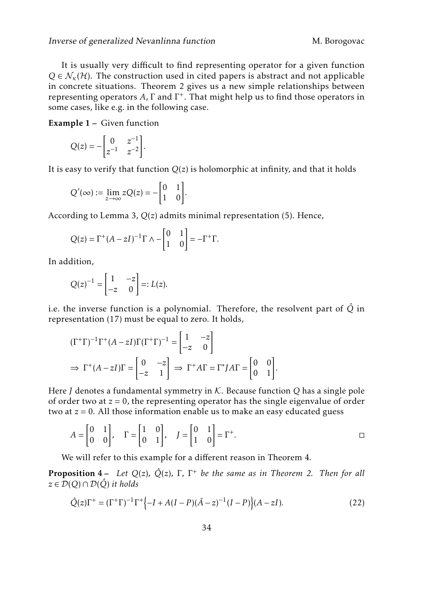It is usually very difficult to find representing operator for a given function  $Q \in \mathcal{N}_{k}(\mathcal{H})$ . The construction used in cited papers is abstract and not applicable in concrete situations. Theorem [2](#page-12-0) gives us a new simple relationships between representing operators *A*, Γ and Γ + . That might help us to find those operators in some cases, like e.g. in the following case.

<span id="page-15-0"></span>Example 1 – Given function

$$
Q(z) = -\begin{bmatrix} 0 & z^{-1} \\ z^{-1} & z^{-2} \end{bmatrix}.
$$

It is easy to verify that function *Q*(*z*) is holomorphic at infinity, and that it holds

$$
Q'(\infty) := \lim_{z \to \infty} zQ(z) = -\begin{bmatrix} 0 & 1 \\ 1 & 0 \end{bmatrix}.
$$

According to Lemma [3,](#page-9-0) *Q*(*z*) admits minimal representation [\(5\)](#page-3-2). Hence,

$$
Q(z) = \Gamma^{+} (A - zI)^{-1} \Gamma \wedge - \begin{bmatrix} 0 & 1 \\ 1 & 0 \end{bmatrix} = -\Gamma^{+} \Gamma.
$$

In addition,

$$
Q(z)^{-1} = \begin{bmatrix} 1 & -z \\ -z & 0 \end{bmatrix} =: L(z).
$$

i.e. the inverse function is a polynomial. Therefore, the resolvent part of  $\hat{Q}$  in representation [\(17\)](#page-12-1) must be equal to zero. It holds,

$$
(\Gamma^+\Gamma)^{-1}\Gamma^+(A-zI)\Gamma(\Gamma^+\Gamma)^{-1} = \begin{bmatrix} 1 & -z \\ -z & 0 \end{bmatrix}
$$
  
\n
$$
\Rightarrow \Gamma^+(A-zI)\Gamma = \begin{bmatrix} 0 & -z \\ -z & 1 \end{bmatrix} \Rightarrow \Gamma^+A\Gamma = \Gamma^*JA\Gamma = \begin{bmatrix} 0 & 0 \\ 0 & 1 \end{bmatrix}.
$$

Here *J* denotes a fundamental symmetry in K. Because function *Q* has a single pole of order two at  $z = 0$ , the representing operator has the single eigenvalue of order two at *z* = 0. All those information enable us to make an easy educated guess

$$
A = \begin{bmatrix} 0 & 1 \\ 0 & 0 \end{bmatrix}, \quad \Gamma = \begin{bmatrix} 1 & 0 \\ 0 & 1 \end{bmatrix}, \quad J = \begin{bmatrix} 0 & 1 \\ 1 & 0 \end{bmatrix} = \Gamma^{+}.
$$

We will refer to this example for a different reason in Theorem [4.](#page-18-0)

Proposition 4 – *Let Q*(*z*)*, Q*ˆ(*z*)*,* Γ*,* Γ <sup>+</sup> *be the same as in Theorem [2.](#page-12-0) Then for all z* ∈  $\mathcal{D}(Q) \cap \mathcal{D}(\hat{Q})$  *it holds* 

<span id="page-15-1"></span>
$$
\hat{Q}(z)\Gamma^{+} = (\Gamma^{+}\Gamma)^{-1}\Gamma^{+}\{-I + A(I - P)(\tilde{A} - z)^{-1}(I - P)\}(A - zI). \tag{22}
$$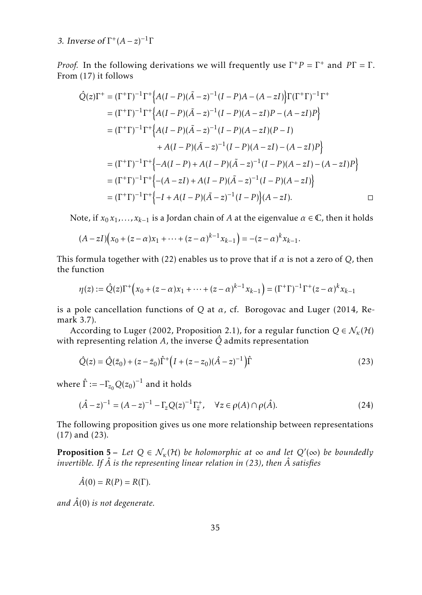3. Inverse of  $\Gamma^+(A-z)^{-1}\Gamma$ 

*Proof.* In the following derivations we will frequently use  $\Gamma^+ P = \Gamma^+$  and  $P\Gamma = \Gamma$ . From [\(17\)](#page-12-1) it follows

$$
\hat{Q}(z)\Gamma^{+} = (\Gamma^{+}\Gamma)^{-1}\Gamma^{+}\Big{A(I-P)(\tilde{A}-z)^{-1}(I-P)A-(A-zI)\Big}\Gamma(\Gamma^{+}\Gamma)^{-1}\Gamma^{+}
$$
\n
$$
= (\Gamma^{+}\Gamma)^{-1}\Gamma^{+}\Big{A(I-P)(\tilde{A}-z)^{-1}(I-P)(A-zI)P-(A-zI)P\Big}
$$
\n
$$
= (\Gamma^{+}\Gamma)^{-1}\Gamma^{+}\Big{A(I-P)(\tilde{A}-z)^{-1}(I-P)(A-zI)(P-I)
$$
\n
$$
+A(I-P)(\tilde{A}-z)^{-1}(I-P)(A-zI)-(A-zI)P\Big}
$$
\n
$$
= (\Gamma^{+}\Gamma)^{-1}\Gamma^{+}\Big{-A(I-P)+A(I-P)(\tilde{A}-z)^{-1}(I-P)(A-zI)-(A-zI)P\Big}
$$
\n
$$
= (\Gamma^{+}\Gamma)^{-1}\Gamma^{+}\Big{-(A-zI)+A(I-P)(\tilde{A}-z)^{-1}(I-P)(A-zI)\Big}
$$
\n
$$
= (\Gamma^{+}\Gamma)^{-1}\Gamma^{+}\Big{-I+A(I-P)(\tilde{A}-z)^{-1}(I-P)(A-zI)}.
$$

Note, if  $x_0 x_1, \ldots, x_{k-1}$  is a Jordan chain of *A* at the eigenvalue  $\alpha \in \mathbb{C}$ , then it holds

$$
(A-zI)(x_0 + (z-\alpha)x_1 + \dots + (z-\alpha)^{k-1}x_{k-1}) = -(z-\alpha)^k x_{k-1}.
$$

This formula together with [\(22\)](#page-15-1) enables us to prove that if  $\alpha$  is not a zero of  $Q$ , then the function

$$
\eta(z) := \hat{Q}(z)\Gamma^{+}(x_0 + (z - \alpha)x_1 + \dots + (z - \alpha)^{k-1}x_{k-1}) = (\Gamma^{+}\Gamma)^{-1}\Gamma^{+}(z - \alpha)^{k}x_{k-1}
$$

is a pole cancellation functions of *Q* at *α*, cf. Borogovac and Luger [\(2014,](#page-22-9) Remark 3.7).

According to Luger [\(2002,](#page-23-3) Proposition 2.1), for a regular function  $Q \in \mathcal{N}_{\kappa}(\mathcal{H})$ with representing relation  $A$ , the inverse  $\hat{Q}$  admits representation

<span id="page-16-1"></span>
$$
\hat{Q}(z) = \hat{Q}(\bar{z}_0) + (z - \bar{z}_0)\hat{\Gamma}^+\left(I + (z - z_0)(\hat{A} - z)^{-1}\right)\hat{\Gamma}
$$
\n(23)

where  $\hat{\Gamma} := -\Gamma_{\!z_0} Q(z_0)^{-1}$  and it holds

<span id="page-16-2"></span>
$$
(\hat{A} - z)^{-1} = (A - z)^{-1} - \Gamma_z Q(z)^{-1} \Gamma_{\bar{z}}^+, \quad \forall z \in \rho(A) \cap \rho(\hat{A}).
$$
\n(24)

The following proposition gives us one more relationship between representations [\(17\)](#page-12-1) and [\(23\)](#page-16-1).

<span id="page-16-0"></span>**Proposition 5** – Let  $Q \in \mathcal{N}_{\kappa}(\mathcal{H})$  be holomorphic at  $\infty$  and let  $Q'(\infty)$  be boundedly *invertible. If A*ˆ *is the representing linear relation in [\(23\)](#page-16-1), then A*ˆ *satisfies*

$$
\hat{A}(0) = R(P) = R(\Gamma).
$$

*and A*ˆ(0) *is not degenerate.*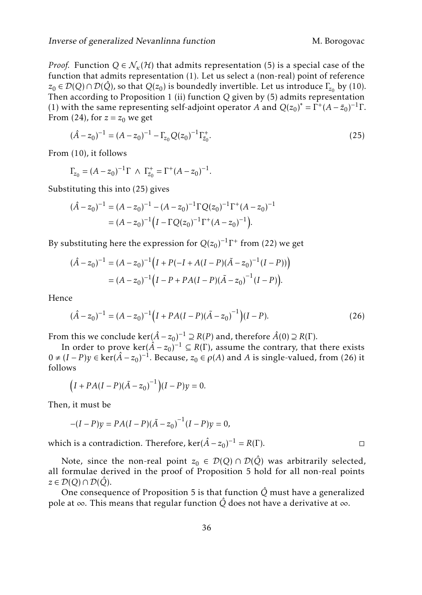*Proof.* Function  $Q \in \mathcal{N}_{k}(\mathcal{H})$  that admits representation [\(5\)](#page-3-2) is a special case of the function that admits representation [\(1\)](#page-2-0). Let us select a (non-real) point of reference  $z_0 \in \mathcal{D}(Q) \cap \mathcal{D}(\hat{Q})$ , so that  $Q(z_0)$  is boundedly invertible. Let us introduce  $\Gamma_{z_0}$  by [\(10\)](#page-5-2). Then according to Proposition [1](#page-4-0) (ii) function *Q* given by [\(5\)](#page-3-2) admits representation [\(1\)](#page-2-0) with the same representing self-adjoint operator *A* and  $Q(z_0)^* = \Gamma^+(A - \bar{z}_0)^{-1}\Gamma$ . From [\(24\)](#page-16-2), for  $z = z_0$  we get

<span id="page-17-0"></span>
$$
(\hat{A} - z_0)^{-1} = (A - z_0)^{-1} - \Gamma_{z_0} Q(z_0)^{-1} \Gamma_{\bar{z}_0}^+.
$$
\n(25)

From [\(10\)](#page-5-2), it follows

$$
\Gamma_{z_0} = (A - z_0)^{-1} \Gamma \ \wedge \ \Gamma_{\bar{z}_0}^+ = \Gamma^+ (A - z_0)^{-1}.
$$

Substituting this into [\(25\)](#page-17-0) gives

$$
(\hat{A} - z_0)^{-1} = (A - z_0)^{-1} - (A - z_0)^{-1} \Gamma Q(z_0)^{-1} \Gamma^+ (A - z_0)^{-1}
$$
  
= 
$$
(A - z_0)^{-1} (I - \Gamma Q(z_0)^{-1} \Gamma^+ (A - z_0)^{-1}).
$$

By substituting here the expression for  $Q(z_0)^{-1}\Gamma^+$  from [\(22\)](#page-15-1) we get

$$
(\hat{A} - z_0)^{-1} = (A - z_0)^{-1} \Big( I + P(-I + A(I - P)(\tilde{A} - z_0)^{-1}(I - P)) \Big)
$$
  
=  $(A - z_0)^{-1} \Big( I - P + PA(I - P)(\tilde{A} - z_0)^{-1}(I - P) \Big).$ 

Hence

$$
(\hat{A} - z_0)^{-1} = (A - z_0)^{-1} \left( I + PA(I - P)(\tilde{A} - z_0)^{-1} \right) (I - P).
$$
 (26)

From this we conclude ker $(\hat{A} - z_0)^{-1} \supseteq R(P)$  and, therefore  $\hat{A}(0) \supseteq R(\Gamma)$ .

In order to prove  $\ker(\hat{A} - z_0)^{-1} \subseteq R(\Gamma)$ , assume the contrary, that there exists  $0 ≠ (I - P)y ∈ \text{ker}(\hat{A} - z_0)^{-1}$ . Because,  $z_0 ∈ \rho(A)$  and *A* is single-valued, from [\(26\)](#page-17-1) it follows

$$
(I + PA(I - P)(A - z0)-1)(I - P)y = 0.
$$

Then, it must be

$$
-(I - P)y = PA(I - P)(A - z0)-1(I - P)y = 0,
$$

which is a contradiction. Therefore, ker( $\hat{A} - z_0$ )<sup>-1</sup> =  $R(\Gamma)$ . □

Note, since the non-real point  $z_0 \in \mathcal{D}(Q) \cap \mathcal{D}(\hat{Q})$  was arbitrarily selected, all formulae derived in the proof of Proposition [5](#page-16-0) hold for all non-real points *z* ∈ D(*Q*)∩ D(*Q*ˆ).

One consequence of Proposition [5](#page-16-0) is that function  $\hat{Q}$  must have a generalized pole at ∞. This means that regular function *Q*ˆ does not have a derivative at ∞.

<span id="page-17-1"></span>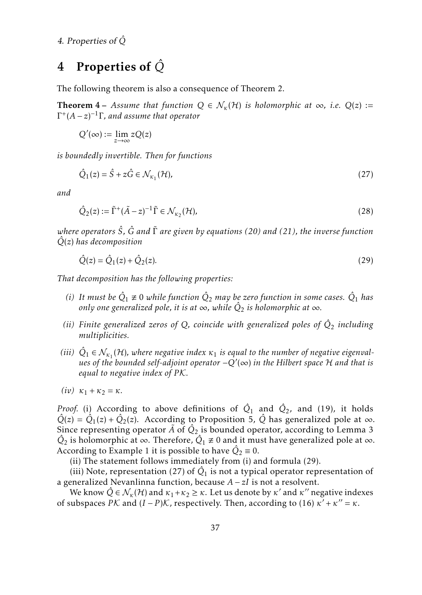## <span id="page-18-5"></span><span id="page-18-4"></span>4 Properties of *Q*ˆ

The following theorem is also a consequence of Theorem [2.](#page-12-0)

<span id="page-18-0"></span>**Theorem 4** – *Assume that function*  $Q \in \mathcal{N}_{k}(\mathcal{H})$  *is holomorphic at*  $\infty$ *, i.e.*  $Q(z)$  := Γ + (*A* − *z*) −1 Γ*, and assume that operator*

$$
Q'(\infty) := \lim_{z \to \infty} zQ(z)
$$

*is boundedly invertible. Then for functions*

<span id="page-18-2"></span>
$$
\hat{Q}_1(z) = \hat{S} + z\hat{G} \in \mathcal{N}_{\kappa_1}(\mathcal{H}),\tag{27}
$$

*and*

<span id="page-18-3"></span>
$$
\hat{Q}_2(z) := \tilde{\Gamma}^+(\tilde{A}-z)^{-1}\tilde{\Gamma} \in \mathcal{N}_{\kappa_2}(\mathcal{H}),\tag{28}
$$

*where operators S*ˆ*, G*ˆ *and* ˜Γ *are given by equations [\(20\)](#page-14-2) and [\(21\)](#page-14-3), the inverse function Q*ˆ(*z*) *has decomposition*

<span id="page-18-1"></span>
$$
\hat{Q}(z) = \hat{Q}_1(z) + \hat{Q}_2(z).
$$
\n(29)

*That decomposition has the following properties:*

- *(i)* It must be  $\hat{Q}_1 \not\equiv 0$  while function  $\hat{Q}_2$  may be zero function in some cases.  $\hat{Q}_1$  has only one generalized pole, it is at  $\infty$ , while  $\hat{Q}_2$  is holomorphic at  $\infty$ .
- *(ii) Finite generalized zeros of Q, coincide with generalized poles of Q*ˆ <sup>2</sup> *including multiplicities.*
- (*iii*)  $\hat{Q}_1 \in \mathcal{N}_{\kappa_1}(\mathcal{H})$ , where negative index  $\kappa_1$  is equal to the number of negative eigenval*ues of the bounded self-adjoint operator* −*Q*′ (∞) *in the Hilbert space* H *and that is equal to negative index of P* K*.*

$$
(iv) \ \kappa_1 + \kappa_2 = \kappa.
$$

*Proof.* (i) According to above definitions of  $\hat{Q}_1$  and  $\hat{Q}_2$ , and [\(19\)](#page-14-1), it holds  $\hat{Q}(z) = \hat{Q}_1(z) + \hat{Q}_2(z)$ . According to Proposition [5,](#page-16-0)  $\hat{Q}$  has generalized pole at  $\infty$ . Since representing operator  $\tilde{A}$  of  $\hat{Q}_2$  is bounded operator, according to Lemma [3](#page-9-0)  $\hat{Q}_2$  is holomorphic at ∞. Therefore,  $\hat{Q}_1 \neq 0$  and it must have generalized pole at ∞. According to Example [1](#page-15-0) it is possible to have  $\hat{Q}_2 \equiv 0$ .

(ii) The statement follows immediately from (i) and formula [\(29\)](#page-18-1).

(iii) Note, representation [\(27\)](#page-18-2) of  $\hat{Q}_1$  is not a typical operator representation of a generalized Nevanlinna function, because *A* − *zI* is not a resolvent.

We know  $\hat{Q} \in \mathcal{N}_{\kappa}(\mathcal{H})$  and  $\kappa_1 + \kappa_2 \geq \kappa$ . Let us denote by  $\kappa'$  and  $\kappa''$  negative indexes of subspaces  $\overrightarrow{PK}$  and  $(I - P)\overrightarrow{K}$ , respectively. Then, according to [\(16\)](#page-11-2)  $\overrightarrow{\kappa'} + \kappa'' = \kappa$ .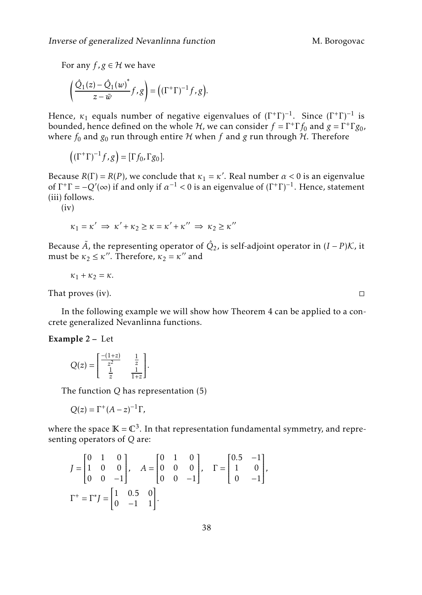<span id="page-19-1"></span>For any  $f, g \in H$  we have

$$
\left(\frac{\hat{Q}_1(z) - \hat{Q}_1(w)}{z - \overline{w}} f, g\right) = \left((\Gamma^+ \Gamma)^{-1} f, g\right).
$$

Hence,  $\kappa_1$  equals number of negative eigenvalues of  $(\Gamma^+\Gamma)^{-1}$ . Since  $(\Gamma^+\Gamma)^{-1}$  is bounded, hence defined on the whole  $H$ , we can consider  $f = \Gamma^+ \Gamma f_0$  and  $g = \Gamma^+ \Gamma g_0$ , where  $f_0$  and  $g_0$  run through entire  $H$  when  $f$  and  $g$  run through  $H$ . Therefore

$$
((\Gamma^+\Gamma)^{-1}f,g) = [\Gamma f_0, \Gamma g_0].
$$

Because  $R(\Gamma) = R(P)$ , we conclude that  $\kappa_1 = \kappa'$ . Real number  $\alpha < 0$  is an eigenvalue of  $\Gamma^+\Gamma = -Q'(\infty)$  if and only if  $\alpha^{-1} < 0$  is an eigenvalue of  $(\Gamma^+\Gamma)^{-1}$ . Hence, statement (iii) follows.

 $(iv)$ 

$$
\kappa_1 = \kappa' \implies \kappa' + \kappa_2 \ge \kappa = \kappa' + \kappa'' \implies \kappa_2 \ge \kappa''
$$

Because  $\tilde{A}$ , the representing operator of  $\hat{Q}_2$ , is self-adjoint operator in  $(I-P){\cal K}$ , it must be  $\kappa_2 \leq \kappa''$ . Therefore,  $\kappa_2 = \kappa''$  and

$$
\kappa_1+\kappa_2=\kappa.
$$

That proves (iv).  $\Box$ 

In the following example we will show how Theorem [4](#page-18-0) can be applied to a concrete generalized Nevanlinna functions.

#### <span id="page-19-0"></span>Example 2 – Let

$$
Q(z) = \begin{bmatrix} \frac{-(1+z)}{z^2} & \frac{1}{z} \\ \frac{1}{z} & \frac{1}{1+z} \end{bmatrix}.
$$

The function *Q* has representation [\(5\)](#page-3-2)

$$
Q(z) = \Gamma^+(A - z)^{-1} \Gamma,
$$

where the space  $\mathbb{K}=\mathbb{C}^3.$  In that representation fundamental symmetry, and representing operators of *Q* are:

$$
J = \begin{bmatrix} 0 & 1 & 0 \\ 1 & 0 & 0 \\ 0 & 0 & -1 \end{bmatrix}, A = \begin{bmatrix} 0 & 1 & 0 \\ 0 & 0 & 0 \\ 0 & 0 & -1 \end{bmatrix}, \Gamma = \begin{bmatrix} 0.5 & -1 \\ 1 & 0 \\ 0 & -1 \end{bmatrix},
$$

$$
\Gamma^{+} = \Gamma^{*} J = \begin{bmatrix} 1 & 0.5 & 0 \\ 0 & -1 & 1 \end{bmatrix}.
$$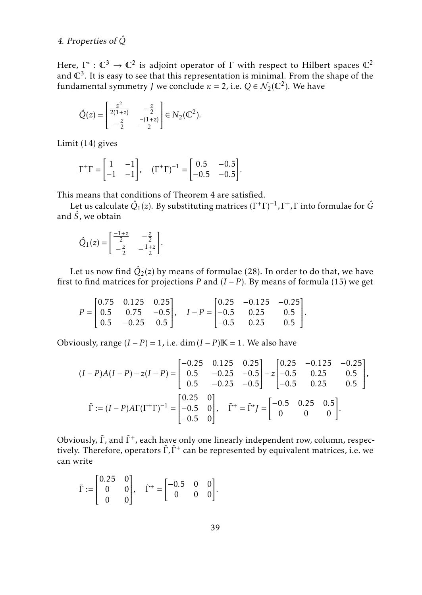#### <span id="page-20-0"></span>4. Properties of *Q*ˆ

Here,  $\Gamma^*: \mathbb{C}^3 \to \mathbb{C}^2$  is adjoint operator of  $\Gamma$  with respect to Hilbert spaces  $\mathbb{C}^2$ and  $\mathbb{C}^3.$  It is easy to see that this representation is minimal. From the shape of the fundamental symmetry *J* we conclude  $\kappa = 2$ , i.e.  $Q \in \mathcal{N}_2(\mathbb{C}^2)$ . We have

$$
\hat{Q}(z) = \begin{bmatrix} \frac{z^2}{2(1+z)} & -\frac{z}{2} \\ -\frac{z}{2} & \frac{-(1+z)}{2} \end{bmatrix} \in N_2(\mathbb{C}^2).
$$

Limit [\(14\)](#page-9-1) gives

$$
\Gamma^{+}\Gamma = \begin{bmatrix} 1 & -1 \\ -1 & -1 \end{bmatrix}, \quad (\Gamma^{+}\Gamma)^{-1} = \begin{bmatrix} 0.5 & -0.5 \\ -0.5 & -0.5 \end{bmatrix}.
$$

This means that conditions of Theorem [4](#page-18-0) are satisfied.

Let us calculate  $\hat{Q}_1(z)$ . By substituting matrices  $(\Gamma^+\Gamma)^{-1}$ ,  $\Gamma^+$ ,  $\Gamma$  into formulae for  $\hat{G}$ and  $\hat{S}$ , we obtain

$$
\hat{Q}_1(z) = \begin{bmatrix} \frac{-1+z}{2} & -\frac{z}{2} \\ -\frac{z}{2} & -\frac{1+z}{2} \end{bmatrix}.
$$

Let us now find  $\hat{Q}_2(z)$  by means of formulae [\(28\)](#page-18-3). In order to do that, we have first to find matrices for projections *P* and  $(I - P)$ . By means of formula [\(15\)](#page-11-0) we get

$$
P = \begin{bmatrix} 0.75 & 0.125 & 0.25 \\ 0.5 & 0.75 & -0.5 \\ 0.5 & -0.25 & 0.5 \end{bmatrix}, \quad I - P = \begin{bmatrix} 0.25 & -0.125 & -0.25 \\ -0.5 & 0.25 & 0.5 \\ -0.5 & 0.25 & 0.5 \end{bmatrix}.
$$

Obviously, range  $(I - P) = 1$ , i.e. dim $(I - P)K = 1$ . We also have

$$
(I - P)A(I - P) - z(I - P) = \begin{bmatrix} -0.25 & 0.125 & 0.25 \\ 0.5 & -0.25 & -0.5 \\ 0.5 & -0.25 & -0.5 \end{bmatrix} - z \begin{bmatrix} 0.25 & -0.125 & -0.25 \\ -0.5 & 0.25 & 0.5 \\ -0.5 & 0.25 & 0.5 \end{bmatrix},
$$

$$
\tilde{\Gamma} := (I - P)A\Gamma(\Gamma^+\Gamma)^{-1} = \begin{bmatrix} 0.25 & 0 \\ -0.5 & 0 \\ -0.5 & 0 \end{bmatrix}, \quad \tilde{\Gamma}^+ = \tilde{\Gamma}^* I = \begin{bmatrix} -0.5 & 0.25 & 0.5 \\ 0 & 0 & 0 \end{bmatrix}.
$$

Obviously,  $\tilde{\Gamma}$ , and  $\tilde{\Gamma}^{+}$ , each have only one linearly independent row, column, respectively. Therefore, operators Γ̃, Γ̃<sup>+</sup> can be represented by equivalent matrices, i.e. we can write

$$
\tilde{\Gamma} := \begin{bmatrix} 0.25 & 0 \\ 0 & 0 \\ 0 & 0 \end{bmatrix}, \quad \tilde{\Gamma}^+ = \begin{bmatrix} -0.5 & 0 & 0 \\ 0 & 0 & 0 \end{bmatrix}.
$$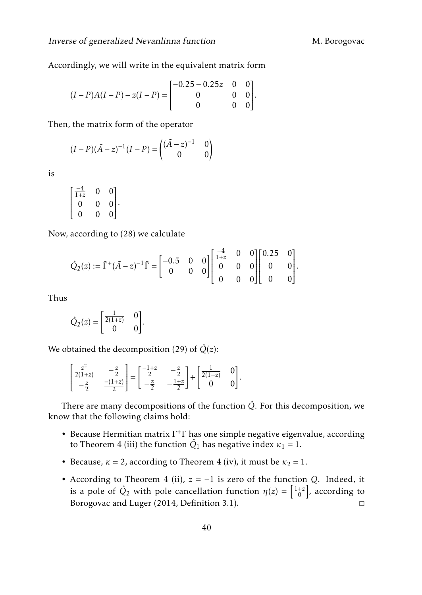<span id="page-21-0"></span>Accordingly, we will write in the equivalent matrix form

$$
(I-P)A(I-P) - z(I-P) = \begin{bmatrix} -0.25 - 0.25z & 0 & 0 \\ 0 & 0 & 0 \\ 0 & 0 & 0 \end{bmatrix}.
$$

Then, the matrix form of the operator

$$
(I - P)(\tilde{A} - z)^{-1}(I - P) = \begin{pmatrix} (\tilde{A} - z)^{-1} & 0\\ 0 & 0 \end{pmatrix}
$$

is

$$
\begin{bmatrix} \frac{-4}{1+z} & 0 & 0 \\ 0 & 0 & 0 \\ 0 & 0 & 0 \end{bmatrix}.
$$

Now, according to [\(28\)](#page-18-3) we calculate

$$
\hat{Q}_2(z):=\tilde{\Gamma}^+(\tilde{A}-z)^{-1}\tilde{\Gamma}=\begin{bmatrix}-0.5 & 0 & 0\\ 0 & 0 & 0\end{bmatrix}\begin{bmatrix}\frac{-4}{1+z} & 0 & 0\\ 0 & 0 & 0\\ 0 & 0 & 0\end{bmatrix}\begin{bmatrix}0.25 & 0\\ 0 & 0\\ 0 & 0\end{bmatrix}.
$$

Thus

$$
\hat{Q}_2(z) = \begin{bmatrix} \frac{1}{2(1+z)} & 0 \\ 0 & 0 \end{bmatrix}.
$$

We obtained the decomposition [\(29\)](#page-18-1) of  $\hat{Q}(z)$ :

$$
\begin{bmatrix} \frac{z^2}{2(1+z)} & -\frac{z}{2} \\ -\frac{z}{2} & \frac{-(1+z)}{2} \end{bmatrix} = \begin{bmatrix} \frac{-1+z}{2} & -\frac{z}{2} \\ -\frac{z}{2} & -\frac{1+z}{2} \end{bmatrix} + \begin{bmatrix} \frac{1}{2(1+z)} & 0 \\ 0 & 0 \end{bmatrix}.
$$

There are many decompositions of the function  $\hat{Q}$ . For this decomposition, we know that the following claims hold:

- Because Hermitian matrix Γ<sup>+</sup>Γ has one simple negative eigenvalue, according to Theorem [4](#page-18-0) (iii) the function  $\hat{Q}_1$  has negative index  $\kappa_1 = 1$ *.*
- Because,  $\kappa = 2$ , according to Theorem [4](#page-18-0) (iv), it must be  $\kappa_2 = 1$ .
- According to Theorem [4](#page-18-0) (ii), *z* = −1 is zero of the function *Q*. Indeed, it is a pole of  $\hat{Q}_2$  with pole cancellation function  $\eta(z) = \begin{bmatrix} 1+z \\ 0 \end{bmatrix}$ , according to Borogovac and Luger [\(2014,](#page-22-9) Definition 3.1). □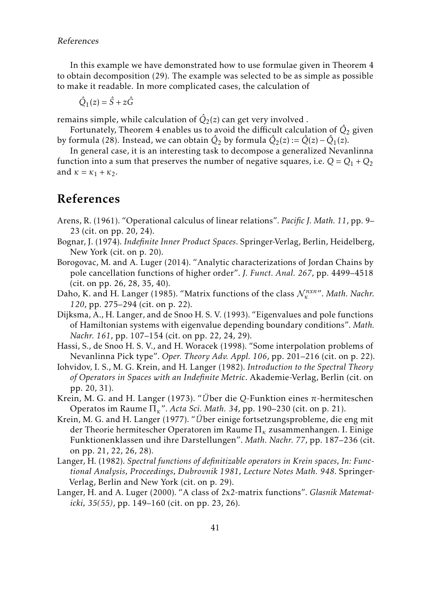<span id="page-22-11"></span>In this example we have demonstrated how to use formulae given in Theorem [4](#page-18-0) to obtain decomposition [\(29\)](#page-18-1). The example was selected to be as simple as possible to make it readable. In more complicated cases, the calculation of

$$
\hat{Q}_1(z) = \hat{S} + z\hat{G}
$$

remains simple, while calculation of  $\hat{Q}_2(z)$  can get very involved .

Fortunately, Theorem [4](#page-18-0) enables us to avoid the difficult calculation of  $\hat{Q}_2$  given by formula [\(28\)](#page-18-3). Instead, we can obtain  $\hat{Q}_2$  by formula  $\hat{Q}_2(z) := \hat{Q}(z) - \hat{Q}_1(z)$ .

In general case, it is an interesting task to decompose a generalized Nevanlinna function into a sum that preserves the number of negative squares, i.e.  $Q = Q_1 + Q_2$ and  $\kappa = \kappa_1 + \kappa_2$ .

## <span id="page-22-12"></span>References

- <span id="page-22-2"></span>Arens, R. (1961). "Operational calculus of linear relations". *Pacific J. Math. 11*, pp. 9– 23 (cit. on pp. [20,](#page-19-1) [24\)](#page-23-5).
- <span id="page-22-0"></span>Bognar, J. (1974). *Indefinite Inner Product Spaces*. Springer-Verlag, Berlin, Heidelberg, New York (cit. on p. [20\)](#page-19-1).
- <span id="page-22-9"></span>Borogovac, M. and A. Luger (2014). "Analytic characterizations of Jordan Chains by pole cancellation functions of higher order". *J. Funct. Anal. 267*, pp. 4499–4518 (cit. on pp. [26, 28, 35, 40\)](#page-0-1).
- <span id="page-22-7"></span>Daho, K. and H. Langer (1985). "Matrix functions of the class  $\mathcal{N}_{\kappa}^{n x n}$ ". *Math. Nachr. 120*, pp. 275–294 (cit. on p. [22\)](#page-21-0).
- <span id="page-22-5"></span>Dijksma, A., H. Langer, and de Snoo H. S. V. (1993). "Eigenvalues and pole functions of Hamiltonian systems with eigenvalue depending boundary conditions". *Math. Nachr. 161*, pp. 107–154 (cit. on pp. [22,](#page-21-0) [24,](#page-23-5) [29\)](#page-0-1).
- <span id="page-22-6"></span>Hassi, S., de Snoo H. S. V., and H. Woracek (1998). "Some interpolation problems of Nevanlinna Pick type". *Oper. Theory Adv. Appl. 106*, pp. 201–216 (cit. on p. [22\)](#page-21-0).
- <span id="page-22-1"></span>Iohvidov, I. S., M. G. Krein, and H. Langer (1982). *Introduction to the Spectral Theory of Operators in Spaces with an Indefinite Metric*. Akademie-Verlag, Berlin (cit. on pp. [20,](#page-19-1) [31\)](#page-0-1).
- <span id="page-22-3"></span>Krein, M. G. and H. Langer (1973). "*U*¨ ber die *Q*-Funktion eines *π*-hermiteschen Operatos im Raume Π*κ*". *Acta Sci. Math. 34*, pp. 190–230 (cit. on p. [21\)](#page-20-0).
- <span id="page-22-4"></span>Krein, M. G. and H. Langer (1977). "Über einige fortsetzungsprobleme, die eng mit der Theorie hermitescher Operatoren im Raume Π*<sup>κ</sup>* zusammenhangen. I. Einige Funktionenklassen und ihre Darstellungen". *Math. Nachr. 77*, pp. 187–236 (cit. on pp. [21,](#page-20-0) [22,](#page-21-0) [26, 28\)](#page-0-1).
- <span id="page-22-10"></span>Langer, H. (1982). *Spectral functions of definitizable operators in Krein spaces, In: Functional Analysis, Proceedings, Dubrovnik 1981, Lecture Notes Math. 948*. Springer-Verlag, Berlin and New York (cit. on p. [29\)](#page-0-1).
- <span id="page-22-8"></span>Langer, H. and A. Luger (2000). "A class of 2x2-matrix functions". *Glasnik Matematicki, 35(55)*, pp. 149–160 (cit. on pp. [23,](#page-22-11) [26\)](#page-0-1).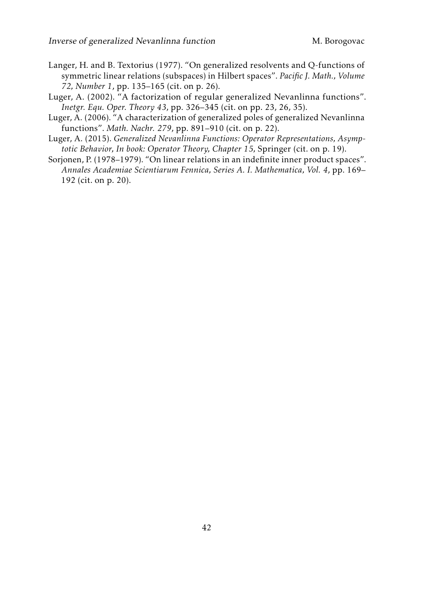- <span id="page-23-5"></span><span id="page-23-4"></span>Langer, H. and B. Textorius (1977). "On generalized resolvents and Q-functions of symmetric linear relations (subspaces) in Hilbert spaces". *Pacific J. Math., Volume 72, Number 1*, pp. 135–165 (cit. on p. [26\)](#page-0-1).
- <span id="page-23-3"></span>Luger, A. (2002). "A factorization of regular generalized Nevanlinna functions". *Inetgr. Equ. Oper. Theory 43*, pp. 326–345 (cit. on pp. [23,](#page-22-11) [26, 35\)](#page-0-1).
- <span id="page-23-2"></span>Luger, A. (2006). "A characterization of generalized poles of generalized Nevanlinna functions". *Math. Nachr. 279*, pp. 891–910 (cit. on p. [22\)](#page-21-0).
- <span id="page-23-0"></span>Luger, A. (2015). *Generalized Nevanlinna Functions: Operator Representations, Asymptotic Behavior, In book: Operator Theory, Chapter 15,* Springer (cit. on p. [19\)](#page-18-4).
- <span id="page-23-1"></span>Sorjonen, P. (1978–1979). "On linear relations in an indefinite inner product spaces". *Annales Academiae Scientiarum Fennica, Series A. I. Mathematica, Vol. 4*, pp. 169– 192 (cit. on p. [20\)](#page-19-1).